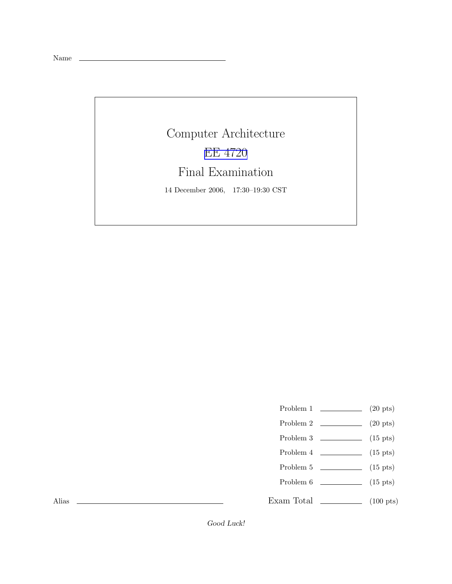Name

## Computer Architecture EE [4720](http://www.ece.lsu.edu/ee4720/) Final Examination 14 December 2006, 17:30–19:30 CST

- Problem 1  $\qquad \qquad (20 \text{ pts})$
- Problem 2  $\qquad \qquad$  (20 pts)
- Problem 3  $\qquad \qquad$  (15 pts)
- Problem 4  $\qquad \qquad$  (15 pts)
- Problem  $5 \t\t(15 \text{ pts})$
- Problem 6 (15 pts)
- Exam Total \_\_\_\_\_\_\_\_\_\_\_\_\_ (100 pts)

Alias

Good Luck!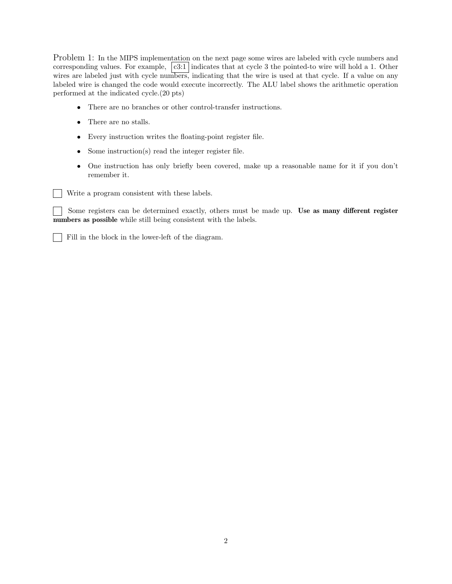Problem 1: In the MIPS implementation on the next page some wires are labeled with cycle numbers and corresponding values. For example,  $|c3:1|$  indicates that at cycle 3 the pointed-to wire will hold a 1. Other wires are labeled just with cycle numbers, indicating that the wire is used at that cycle. If a value on any labeled wire is changed the code would execute incorrectly. The ALU label shows the arithmetic operation performed at the indicated cycle.(20 pts)

- There are no branches or other control-transfer instructions.
- There are no stalls.
- Every instruction writes the floating-point register file.
- Some instruction(s) read the integer register file.
- One instruction has only briefly been covered, make up a reasonable name for it if you don't remember it.

Write a program consistent with these labels.

Some registers can be determined exactly, others must be made up. Use as many different register numbers as possible while still being consistent with the labels.

Fill in the block in the lower-left of the diagram.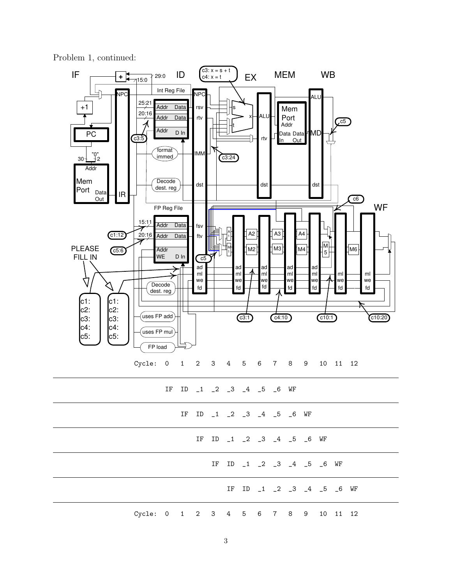Problem 1, continued:

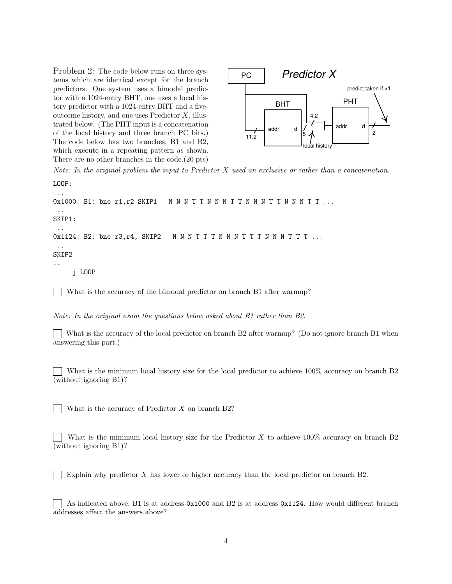Problem 2: The code below runs on three systems which are identical except for the branch predictors. One system uses a bimodal predictor with a 1024-entry BHT, one uses a local history predictor with a 1024-entry BHT and a fiveoutcome history, and one uses Predictor X, illustrated below. (The PHT input is a concatenation of the local history and three branch PC bits.) The code below has two branches, B1 and B2, which execute in a repeating pattern as shown. There are no other branches in the code.(20 pts)



Note: In the original problem the input to Predictor  $X$  used an exclusive or rather than a concatenation. LOOP:

..

```
0x1000: B1: bne r1, r2 SKIP1 NNNTTNNNTTNNNTTNNNTT...
 ..
SKIP1:
 ..
0x1124: B2: bne r3, r4, SKIP2 N N N T T T N N N T T T N N N T T T ...
 ..
SKIP2
..
    j LOOP
```
What is the accuracy of the bimodal predictor on branch B1 after warmup?

Note: In the original exam the questions below asked about B1 rather than B2.

What is the accuracy of the local predictor on branch B2 after warmup? (Do not ignore branch B1 when answering this part.)

What is the minimum local history size for the local predictor to achieve 100% accuracy on branch B2 (without ignoring B1)?

What is the accuracy of Predictor  $X$  on branch B2?

What is the minimum local history size for the Predictor  $X$  to achieve 100% accuracy on branch B2 (without ignoring B1)?

Explain why predictor X has lower or higher accuracy than the local predictor on branch B2.

As indicated above, B1 is at address 0x1000 and B2 is at address 0x1124. How would different branch addresses affect the answers above?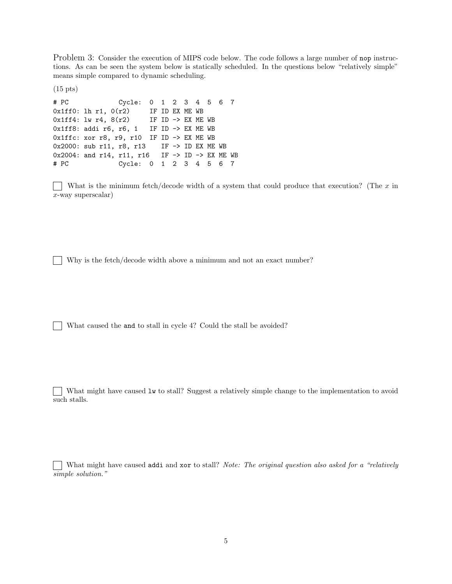Problem 3: Consider the execution of MIPS code below. The code follows a large number of nop instructions. As can be seen the system below is statically scheduled. In the questions below "relatively simple" means simple compared to dynamic scheduling.

(15 pts)

# PC Cycle: 0 1 2 3 4 5 6 7  $0x1ff0:$  lh r1,  $0(r2)$  IF ID EX ME WB  $0x1ff4: lw r4, 8(r2)$  IF ID -> EX ME WB 0x1ff8: addi r6, r6, 1 IF ID -> EX ME WB 0x1ffc: xor r8, r9, r10 IF ID -> EX ME WB 0x2000: sub r11, r8, r13 IF -> ID EX ME WB 0x2004: and r14, r11, r16 IF -> ID -> EX ME WB # PC Cycle: 0 1 2 3 4 5 6 7

What is the minimum fetch/decode width of a system that could produce that execution? (The  $x$  in x-way superscalar)

Why is the fetch/decode width above a minimum and not an exact number?

What caused the and to stall in cycle 4? Could the stall be avoided?

What might have caused lw to stall? Suggest a relatively simple change to the implementation to avoid such stalls.

What might have caused addi and xor to stall? Note: The original question also asked for a "relatively" simple solution."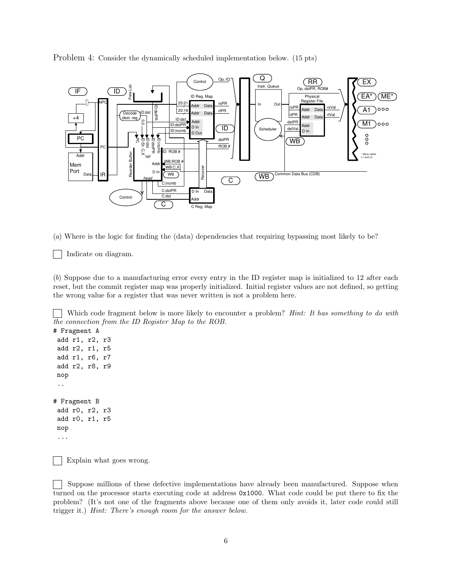Problem 4: Consider the dynamically scheduled implementation below. (15 pts)



(a) Where is the logic for finding the (data) dependencies that requiring bypassing most likely to be?

Indicate on diagram.

(b) Suppose due to a manufacturing error every entry in the ID register map is initialized to 12 after each reset, but the commit register map was properly initialized. Initial register values are not defined, so getting the wrong value for a register that was never written is not a problem here.

Which code fragment below is more likely to encounter a problem? *Hint: It has something to do with* the connection from the ID Register Map to the ROB.

```
# Fragment A
add r1, r2, r3
add r2, r1, r5
add r1, r6, r7
add r2, r8, r9
nop
 ..
# Fragment B
add r0, r2, r3
add r0, r1, r5
nop
 ...
```
Explain what goes wrong.

Suppose millions of these defective implementations have already been manufactured. Suppose when turned on the processor starts executing code at address 0x1000. What code could be put there to fix the problem? (It's not one of the fragments above because one of them only avoids it, later code could still trigger it.) Hint: There's enough room for the answer below.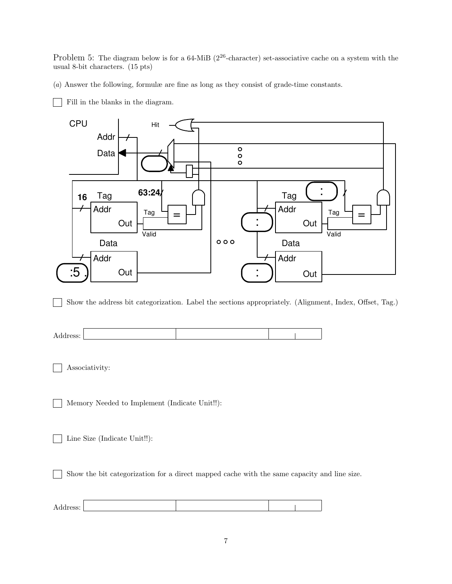Problem 5: The diagram below is for a 64-MiB ( $2^{26}$ -character) set-associative cache on a system with the usual 8-bit characters. (15 pts)

(a) Answer the following, formulæ are fine as long as they consist of grade-time constants.

Fill in the blanks in the diagram.



Show the address bit categorization. Label the sections appropriately. (Alignment, Index, Offset, Tag.)

| - |  |  |
|---|--|--|
|   |  |  |

Associativity:

Memory Needed to Implement (Indicate Unit!!):

Line Size (Indicate Unit!!):

Show the bit categorization for a direct mapped cache with the same capacity and line size.

| Address: |  |  |
|----------|--|--|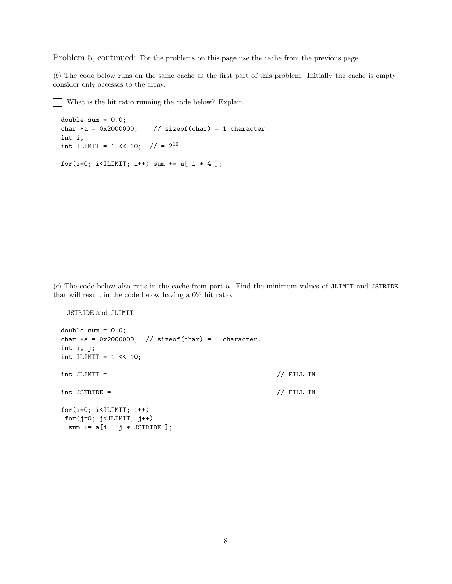Problem 5, continued: For the problems on this page use the cache from the previous page.

(b) The code below runs on the same cache as the first part of this problem. Initially the cache is empty; consider only accesses to the array.

What is the hit ratio running the code below? Explain

```
double sum = 0.0;
char *a = 0x2000000; // sizeof(char) = 1 character.
int i;
int ILIMIT = 1 << 10; // = 2^{10}for(i=0; i<ILIMIT; i++) sum += a[i * 4];
```
(c) The code below also runs in the cache from part a. Find the minimum values of JLIMIT and JSTRIDE that will result in the code below having a 0% hit ratio.

JSTRIDE and JLIMIT

```
double sum = 0.0;
char *a = 0x2000000; // sizeof(char) = 1 character.
int i, j;
int ILIMIT = 1 \le 10;
int JLIMIT = \frac{1}{\sqrt{2}} // FILL IN
int JSTRIDE = // FILL IN
for(i=0; i<ILIMIT; i++)
for(j=0; j<JLIMIT; j++)sum += a[i + j * JSTRIDE];
```